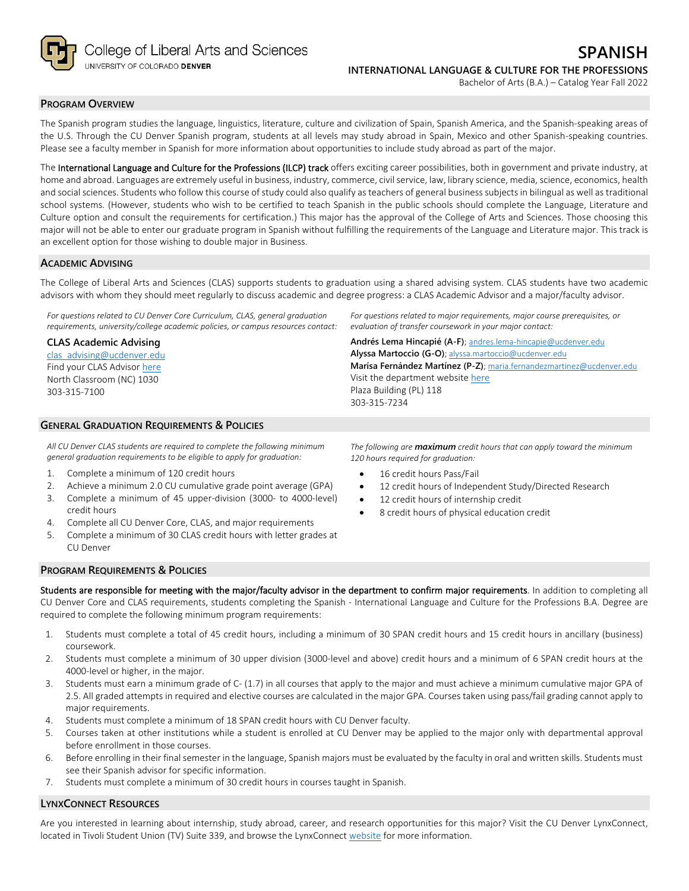

### **PROGRAM OVERVIEW**

The Spanish program studies the language, linguistics, literature, culture and civilization of Spain, Spanish America, and the Spanish-speaking areas of the U.S. Through the CU Denver Spanish program, students at all levels may study abroad in Spain, Mexico and other Spanish-speaking countries. Please see a faculty member in Spanish for more information about opportunities to include study abroad as part of the major.

The International Language and Culture for the Professions (ILCP) track offers exciting career possibilities, both in government and private industry, at home and abroad. Languages are extremely useful in business, industry, commerce, civil service, law, library science, media, science, economics, health and social sciences. Students who follow this course of study could also qualify as teachers of general business subjects in bilingual as well as traditional school systems. (However, students who wish to be certified to teach Spanish in the public schools should complete the Language, Literature and Culture option and consult the requirements for certification.) This major has the approval of the College of Arts and Sciences. Those choosing this major will not be able to enter our graduate program in Spanish without fulfilling the requirements of the Language and Literature major. This track is an excellent option for those wishing to double major in Business.

#### **ACADEMIC ADVISING**

The College of Liberal Arts and Sciences (CLAS) supports students to graduation using a shared advising system. CLAS students have two academic advisors with whom they should meet regularly to discuss academic and degree progress: a CLAS Academic Advisor and a major/faculty advisor.

*For questions related to CU Denver Core Curriculum, CLAS, general graduation requirements, university/college academic policies, or campus resources contact:*

#### **CLAS Academic Advising**

[clas\\_advising@ucdenver.edu](mailto:clas_advising@ucdenver.edu) Find your CLAS Adviso[r here](https://clas.ucdenver.edu/advising/) North Classroom (NC) 1030 303-315-7100

## **GENERAL GRADUATION REQUIREMENTS & POLICIES**

*All CU Denver CLAS students are required to complete the following minimum general graduation requirements to be eligible to apply for graduation:*

- 1. Complete a minimum of 120 credit hours
- 2. Achieve a minimum 2.0 CU cumulative grade point average (GPA)
- 3. Complete a minimum of 45 upper-division (3000- to 4000-level) credit hours
- 4. Complete all CU Denver Core, CLAS, and major requirements
- 5. Complete a minimum of 30 CLAS credit hours with letter grades at CU Denver

*For questions related to major requirements, major course prerequisites, or evaluation of transfer coursework in your major contact:*

**Andrés Lema Hincapié (A-F)**; [andres.lema-hincapie@ucdenver.edu](mailto:andres.lema-hincapie@ucdenver.edu) **Alyssa Martoccio (G-O)**; [alyssa.martoccio@ucdenver.edu](mailto:alyssa.martoccio@ucdenver.edu) **Marísa Fernández Martínez (P-Z)**; [maria.fernandezmartinez@ucdenver.edu](mailto:maria.fernandezmartinez@ucdenver.edu) Visit the department websit[e here](https://clas.ucdenver.edu/modLang/) Plaza Building (PL) 118 303-315-7234

*The following are maximum credit hours that can apply toward the minimum 120 hours required for graduation:*

- 16 credit hours Pass/Fail
- 12 credit hours of Independent Study/Directed Research
- 12 credit hours of internship credit
- 8 credit hours of physical education credit

# **PROGRAM REQUIREMENTS & POLICIES**

Students are responsible for meeting with the major/faculty advisor in the department to confirm major requirements. In addition to completing all CU Denver Core and CLAS requirements, students completing the Spanish - International Language and Culture for the Professions B.A. Degree are required to complete the following minimum program requirements:

- 1. Students must complete a total of 45 credit hours, including a minimum of 30 SPAN credit hours and 15 credit hours in ancillary (business) coursework.
- 2. Students must complete a minimum of 30 upper division (3000-level and above) credit hours and a minimum of 6 SPAN credit hours at the 4000-level or higher, in the major.
- 3. Students must earn a minimum grade of C- (1.7) in all courses that apply to the major and must achieve a minimum cumulative major GPA of 2.5. All graded attempts in required and elective courses are calculated in the major GPA. Courses taken using pass/fail grading cannot apply to major requirements.
- 4. Students must complete a minimum of 18 SPAN credit hours with CU Denver faculty.
- 5. Courses taken at other institutions while a student is enrolled at CU Denver may be applied to the major only with departmental approval before enrollment in those courses.
- 6. Before enrolling in their final semester in the language, Spanish majors must be evaluated by the faculty in oral and written skills. Students must see their Spanish advisor for specific information.
- 7. Students must complete a minimum of 30 credit hours in courses taught in Spanish.

# **LYNXCONNECT RESOURCES**

Are you interested in learning about internship, study abroad, career, and research opportunities for this major? Visit the CU Denver LynxConnect, located in Tivoli Student Union (TV) Suite 339, and browse the LynxConnec[t website](http://www.ucdenver.edu/lynxconnect/Pages/default.aspx) for more information.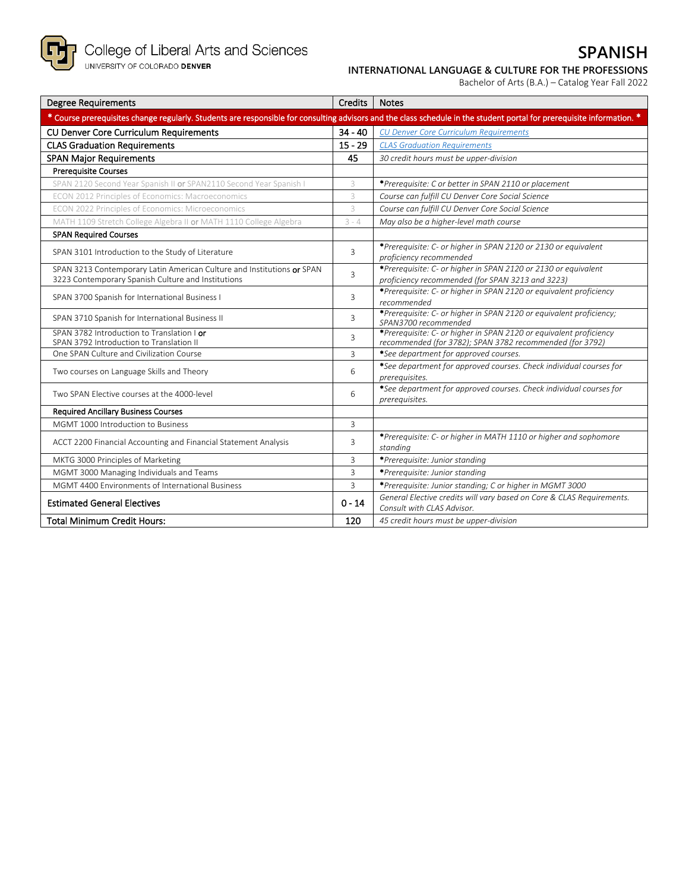

# **SPANISH INTERNATIONAL LANGUAGE & CULTURE FOR THE PROFESSIONS**

| Bachelor of Arts (B.A.) – Catalog Year Fall 2022 |  |  |  |  |
|--------------------------------------------------|--|--|--|--|
|--------------------------------------------------|--|--|--|--|

| <b>Degree Requirements</b>                                                                                                                                             | <b>Credits</b> | <b>Notes</b>                                                                                                                   |
|------------------------------------------------------------------------------------------------------------------------------------------------------------------------|----------------|--------------------------------------------------------------------------------------------------------------------------------|
| * Course prerequisites change regularly. Students are responsible for consulting advisors and the class schedule in the student portal for prerequisite information. * |                |                                                                                                                                |
| <b>CU Denver Core Curriculum Requirements</b>                                                                                                                          | $34 - 40$      | <b>CU Denver Core Curriculum Requirements</b>                                                                                  |
| <b>CLAS Graduation Requirements</b>                                                                                                                                    | $15 - 29$      | <b>CLAS Graduation Requirements</b>                                                                                            |
| <b>SPAN Major Requirements</b>                                                                                                                                         | 45             | 30 credit hours must be upper-division                                                                                         |
| <b>Prerequisite Courses</b>                                                                                                                                            |                |                                                                                                                                |
| SPAN 2120 Second Year Spanish II or SPAN2110 Second Year Spanish I                                                                                                     | 3              | *Prerequisite: C or better in SPAN 2110 or placement                                                                           |
| ECON 2012 Principles of Economics: Macroeconomics                                                                                                                      | 3              | Course can fulfill CU Denver Core Social Science                                                                               |
| ECON 2022 Principles of Economics: Microeconomics                                                                                                                      | 3              | Course can fulfill CU Denver Core Social Science                                                                               |
| MATH 1109 Stretch College Algebra II or MATH 1110 College Algebra                                                                                                      | $3 - 4$        | May also be a higher-level math course                                                                                         |
| <b>SPAN Required Courses</b>                                                                                                                                           |                |                                                                                                                                |
| SPAN 3101 Introduction to the Study of Literature                                                                                                                      | 3              | *Prerequisite: C- or higher in SPAN 2120 or 2130 or equivalent<br>proficiency recommended                                      |
| SPAN 3213 Contemporary Latin American Culture and Institutions or SPAN<br>3223 Contemporary Spanish Culture and Institutions                                           | 3              | *Prerequisite: C- or higher in SPAN 2120 or 2130 or equivalent<br>proficiency recommended (for SPAN 3213 and 3223)             |
| SPAN 3700 Spanish for International Business I                                                                                                                         | 3              | *Prerequisite: C- or higher in SPAN 2120 or equivalent proficiency<br>recommended                                              |
| SPAN 3710 Spanish for International Business II                                                                                                                        | 3              | *Prerequisite: C- or higher in SPAN 2120 or equivalent proficiency;<br>SPAN3700 recommended                                    |
| SPAN 3782 Introduction to Translation I or<br>SPAN 3792 Introduction to Translation II                                                                                 | 3              | *Prerequisite: C- or higher in SPAN 2120 or equivalent proficiency<br>recommended (for 3782); SPAN 3782 recommended (for 3792) |
| One SPAN Culture and Civilization Course                                                                                                                               | 3              | *See department for approved courses.                                                                                          |
| Two courses on Language Skills and Theory                                                                                                                              | 6              | *See department for approved courses. Check individual courses for<br>prerequisites.                                           |
| Two SPAN Elective courses at the 4000-level                                                                                                                            | 6              | *See department for approved courses. Check individual courses for<br>prerequisites.                                           |
| <b>Required Ancillary Business Courses</b>                                                                                                                             |                |                                                                                                                                |
| MGMT 1000 Introduction to Business                                                                                                                                     | $\overline{3}$ |                                                                                                                                |
| ACCT 2200 Financial Accounting and Financial Statement Analysis                                                                                                        | 3              | *Prerequisite: C- or higher in MATH 1110 or higher and sophomore<br>standing                                                   |
| MKTG 3000 Principles of Marketing                                                                                                                                      | 3              | *Prerequisite: Junior standing                                                                                                 |
| MGMT 3000 Managing Individuals and Teams                                                                                                                               | $\overline{3}$ | *Prerequisite: Junior standing                                                                                                 |
| MGMT 4400 Environments of International Business                                                                                                                       | 3              | *Prerequisite: Junior standing; C or higher in MGMT 3000                                                                       |
| <b>Estimated General Electives</b>                                                                                                                                     | $0 - 14$       | General Elective credits will vary based on Core & CLAS Requirements.<br>Consult with CLAS Advisor.                            |
| <b>Total Minimum Credit Hours:</b>                                                                                                                                     | 120            | 45 credit hours must be upper-division                                                                                         |